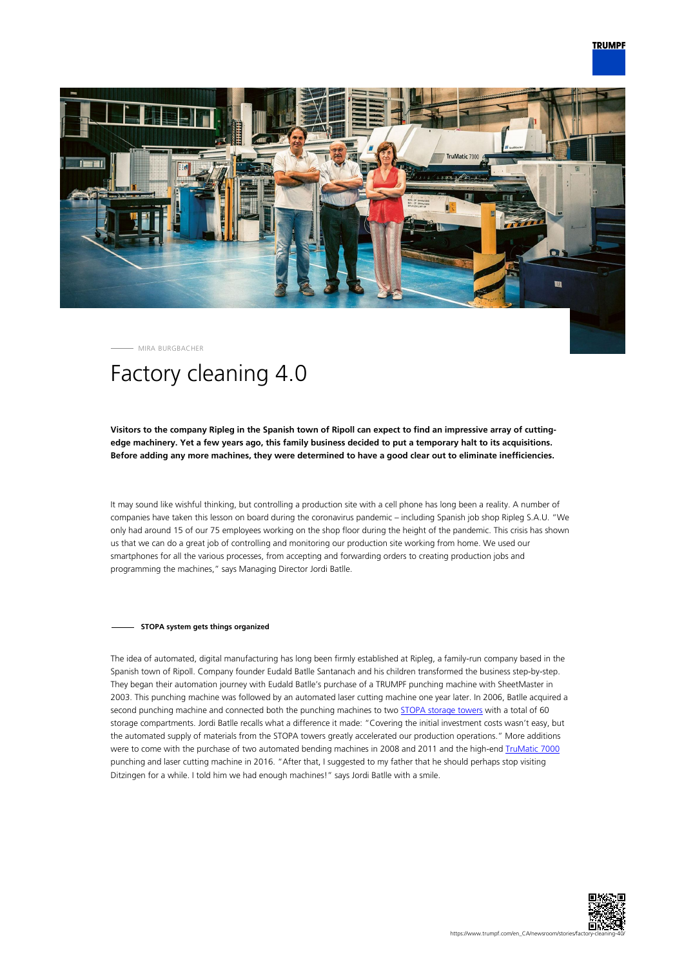

MIRA BURGBACHER

# Factory cleaning 4.0

## **Visitors to the company Ripleg in the Spanish town of Ripoll can expect to find an impressive array of cuttingedge machinery. Yet a few years ago, this family business decided to put a temporary halt to its acquisitions. Before adding any more machines, they were determined to have a good clear out to eliminate inefficiencies.**

It may sound like wishful thinking, but controlling a production site with a cell phone has long been a reality. A number of companies have taken this lesson on board during the coronavirus pandemic – including Spanish job shop Ripleg S.A.U. "We only had around 15 of our 75 employees working on the shop floor during the height of the pandemic. This crisis has shown us that we can do a great job of controlling and monitoring our production site working from home. We used our smartphones for all the various processes, from accepting and forwarding orders to creating production jobs and programming the machines," says Managing Director Jordi Batlle.

#### **STOPA system gets things organized**

The idea of automated, digital manufacturing has long been firmly established at Ripleg, a family-run company based in the Spanish town of Ripoll. Company founder Eudald Batlle Santanach and his children transformed the business step-by-step. They began their automation journey with Eudald Batlle's purchase of a TRUMPF punching machine with SheetMaster in 2003. This punching machine was followed by an automated laser cutting machine one year later. In 2006, Batlle acquired a second punching machine and connected both the punching machines to two [STOPA storage towers](https://www.trumpf.com/en_INT/products/machines-systems/storage-systems/) with a total of 60 storage compartments. Jordi Batlle recalls what a difference it made: "Covering the initial investment costs wasn't easy, but the automated supply of materials from the STOPA towers greatly accelerated our production operations." More additions were to come with the purchase of two automated bending machines in 2008 and 2011 and the high-end [TruMatic 7000](https://www.trumpf.com/en_INT/products/machines-systems/punch-laser-machines/trumatic-7000/) punching and laser cutting machine in 2016. "After that, I suggested to my father that he should perhaps stop visiting Ditzingen for a while. I told him we had enough machines!" says Jordi Batlle with a smile.

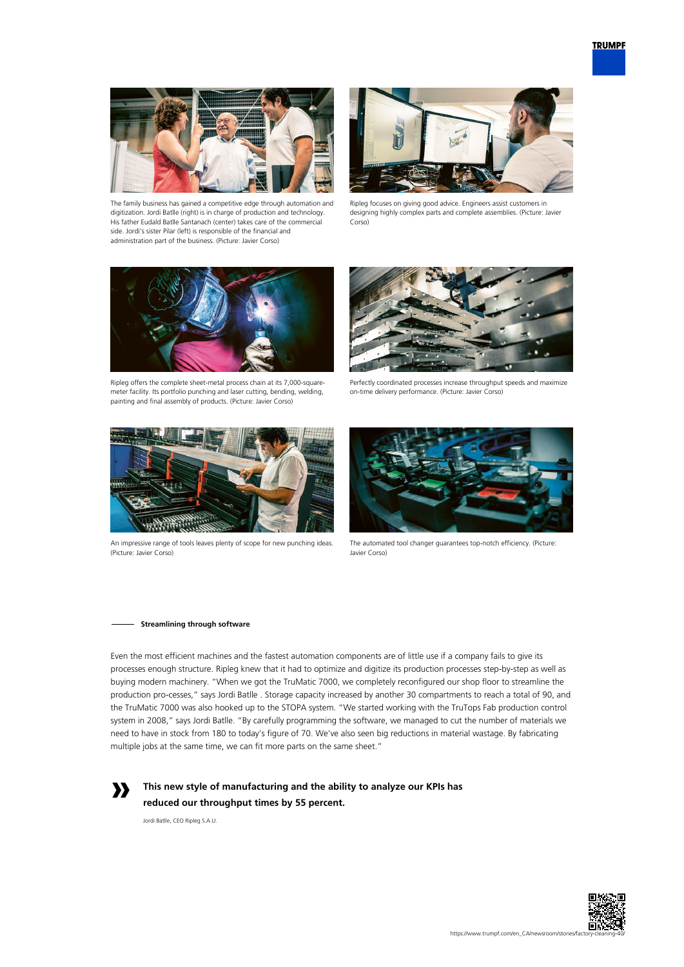

The family business has gained a competitive edge through automation and digitization. Jordi Batlle (right) is in charge of production and technology. His father Eudald Batlle Santanach (center) takes care of the commercial side. Jordi's sister Pilar (left) is responsible of the financial and administration part of the business. (Picture: Javier Corso)



Ripleg focuses on giving good advice. Engineers assist customers in designing highly complex parts and complete assemblies. (Picture: Javier Corso)



Ripleg offers the complete sheet-metal process chain at its 7,000-squaremeter facility. Its portfolio punching and laser cutting, bending, welding, painting and final assembly of products. (Picture: Javier Corso)



Perfectly coordinated processes increase throughput speeds and maximize on-time delivery performance. (Picture: Javier Corso)



An impressive range of tools leaves plenty of scope for new punching ideas. (Picture: Javier Corso)



The automated tool changer guarantees top-notch efficiency. (Picture: Javier Corso)

#### **Streamlining through software**

Even the most efficient machines and the fastest automation components are of little use if a company fails to give its processes enough structure. Ripleg knew that it had to optimize and digitize its production processes step-by-step as well as buying modern machinery. "When we got the TruMatic 7000, we completely reconfigured our shop floor to streamline the production pro-cesses," says Jordi Batlle . Storage capacity increased by another 30 compartments to reach a total of 90, and the TruMatic 7000 was also hooked up to the STOPA system. "We started working with the TruTops Fab production control system in 2008," says Jordi Batlle. "By carefully programming the software, we managed to cut the number of materials we need to have in stock from 180 to today's figure of 70. We've also seen big reductions in material wastage. By fabricating multiple jobs at the same time, we can fit more parts on the same sheet."



**This new style of manufacturing and the ability to analyze our KPIs has reduced our throughput times by 55 percent.** 

Jordi Batlle, CEO Ripleg S.A.U.